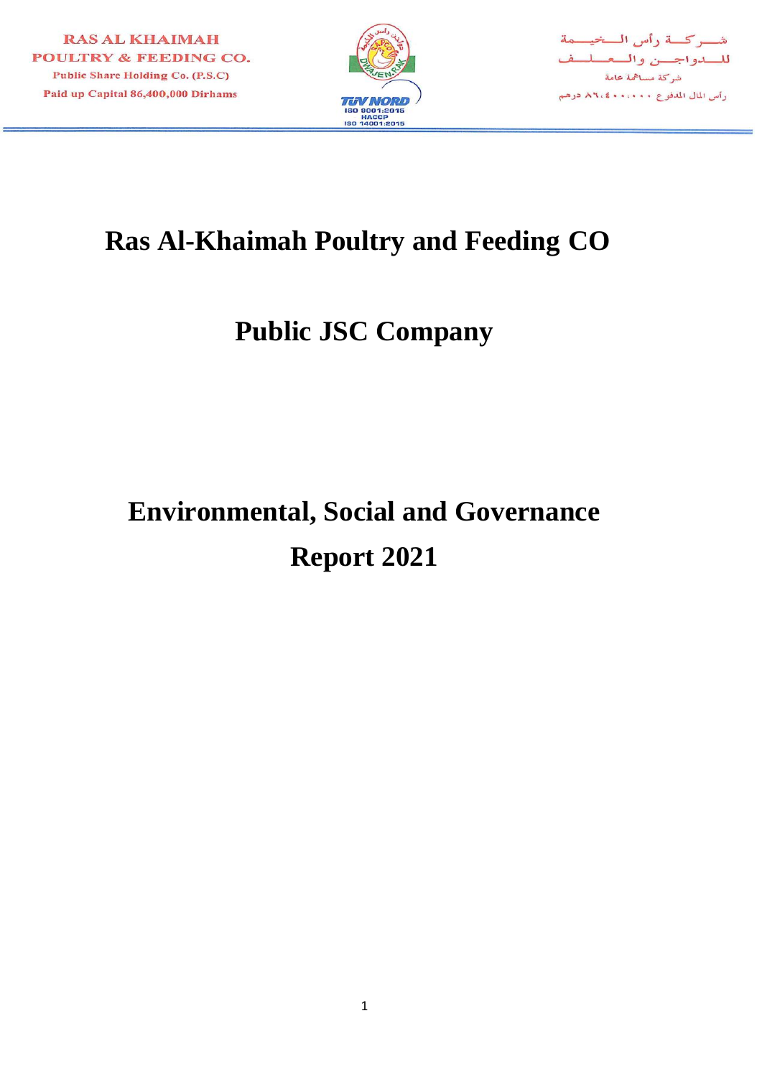



# **Ras Al-Khaimah Poultry and Feeding CO**

# **Public JSC Company**

# **Environmental, Social and Governance Report 2021**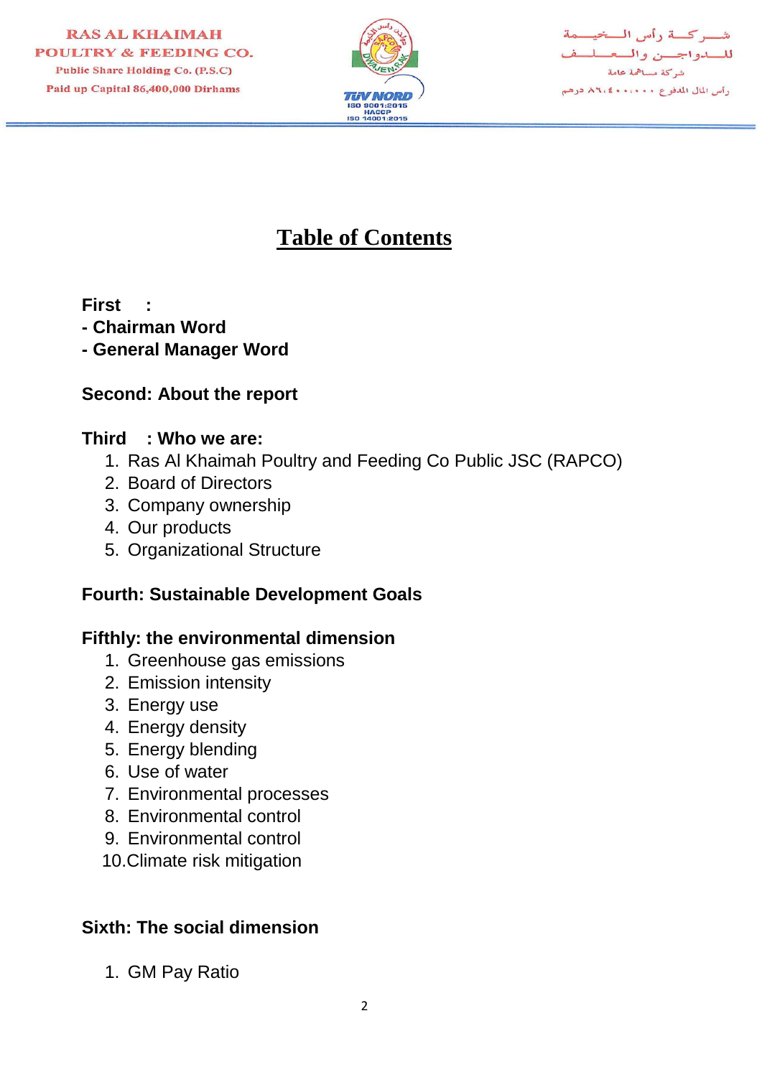

شب كسة رأس السخيسمة للسدواجسن والمعسلسف شركة مساهمة عامة رأس المال المدفوع ٨٦،٠٠٠٠ ٨٦،٤

# **Table of Contents**

**First :**

- **- Chairman Word**
- **- General Manager Word**

# **Second: About the report**

#### **Third : Who we are:**

- 1. Ras Al Khaimah Poultry and Feeding Co Public JSC (RAPCO)
- 2. Board of Directors
- 3. Company ownership
- 4. Our products
- 5. Organizational Structure

# **Fourth: Sustainable Development Goals**

# **Fifthly: the environmental dimension**

- 1. Greenhouse gas emissions
- 2. Emission intensity
- 3. Energy use
- 4. Energy density
- 5. Energy blending
- 6. Use of water
- 7. Environmental processes
- 8. Environmental control
- 9. Environmental control
- 10.Climate risk mitigation

# **Sixth: The social dimension**

1. GM Pay Ratio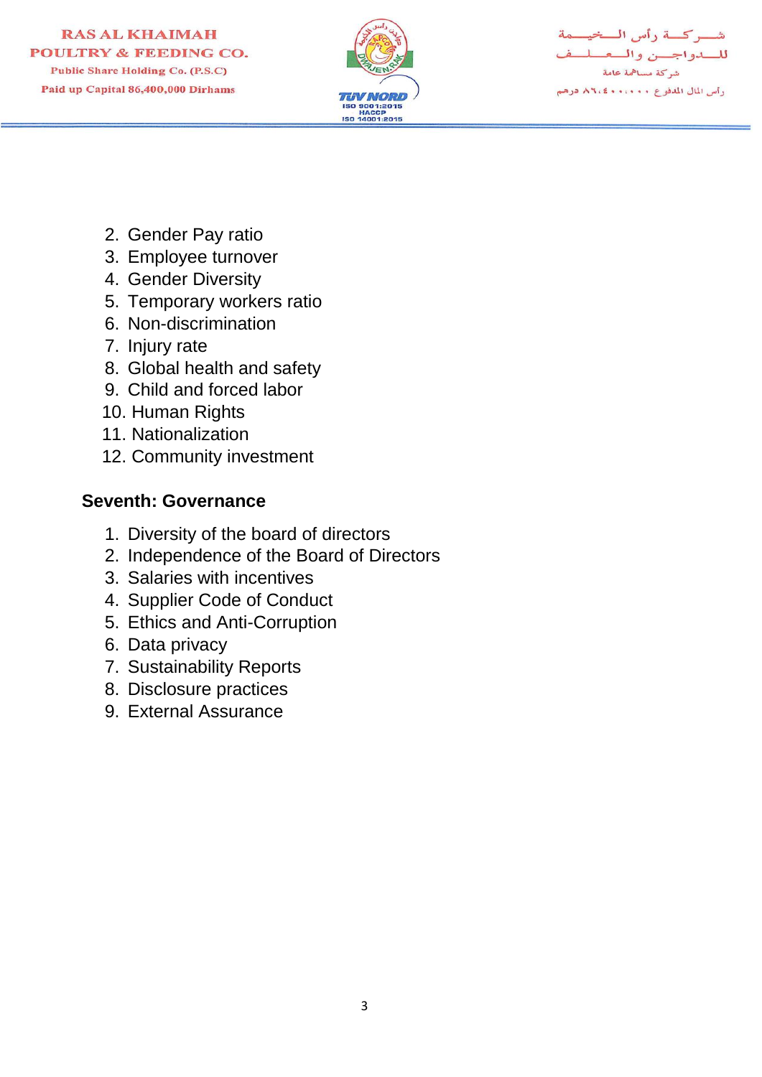

شهركة رأس المخيسمة للسدواجسن والمعملم شركة مساهمة عامة رأس المال المدفوع ٨٦،٤٠٠٠٠٠ درهم

- 2. Gender Pay ratio
- 3. Employee turnover
- 4. Gender Diversity
- 5. Temporary workers ratio
- 6. Non-discrimination
- 7. Injury rate
- 8. Global health and safety
- 9. Child and forced labor
- 10. Human Rights
- 11. Nationalization
- 12. Community investment

# **Seventh: Governance**

- 1. Diversity of the board of directors
- 2. Independence of the Board of Directors
- 3. Salaries with incentives
- 4. Supplier Code of Conduct
- 5. Ethics and Anti-Corruption
- 6. Data privacy
- 7. Sustainability Reports
- 8. Disclosure practices
- 9. External Assurance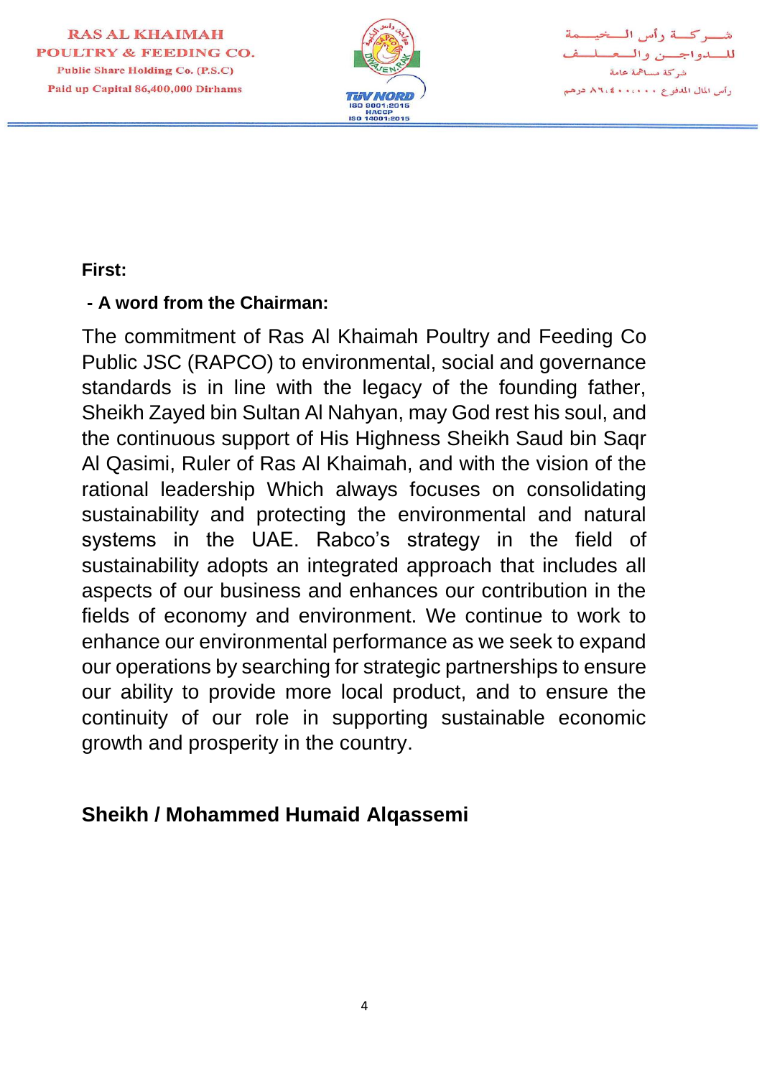

شوركة رأس المخيصمة للسدواجس والمعسليف شركة مساهمة عامة رأس المال المدفوع ٨٦،٠٠٠٠ ٨٦،٤

#### **First:**

#### **- A word from the Chairman:**

The commitment of Ras Al Khaimah Poultry and Feeding Co Public JSC (RAPCO) to environmental, social and governance standards is in line with the legacy of the founding father, Sheikh Zayed bin Sultan Al Nahyan, may God rest his soul, and the continuous support of His Highness Sheikh Saud bin Saqr Al Qasimi, Ruler of Ras Al Khaimah, and with the vision of the rational leadership Which always focuses on consolidating sustainability and protecting the environmental and natural systems in the UAE. Rabco's strategy in the field of sustainability adopts an integrated approach that includes all aspects of our business and enhances our contribution in the fields of economy and environment. We continue to work to enhance our environmental performance as we seek to expand our operations by searching for strategic partnerships to ensure our ability to provide more local product, and to ensure the continuity of our role in supporting sustainable economic growth and prosperity in the country.

# **Sheikh / Mohammed Humaid Alqassemi**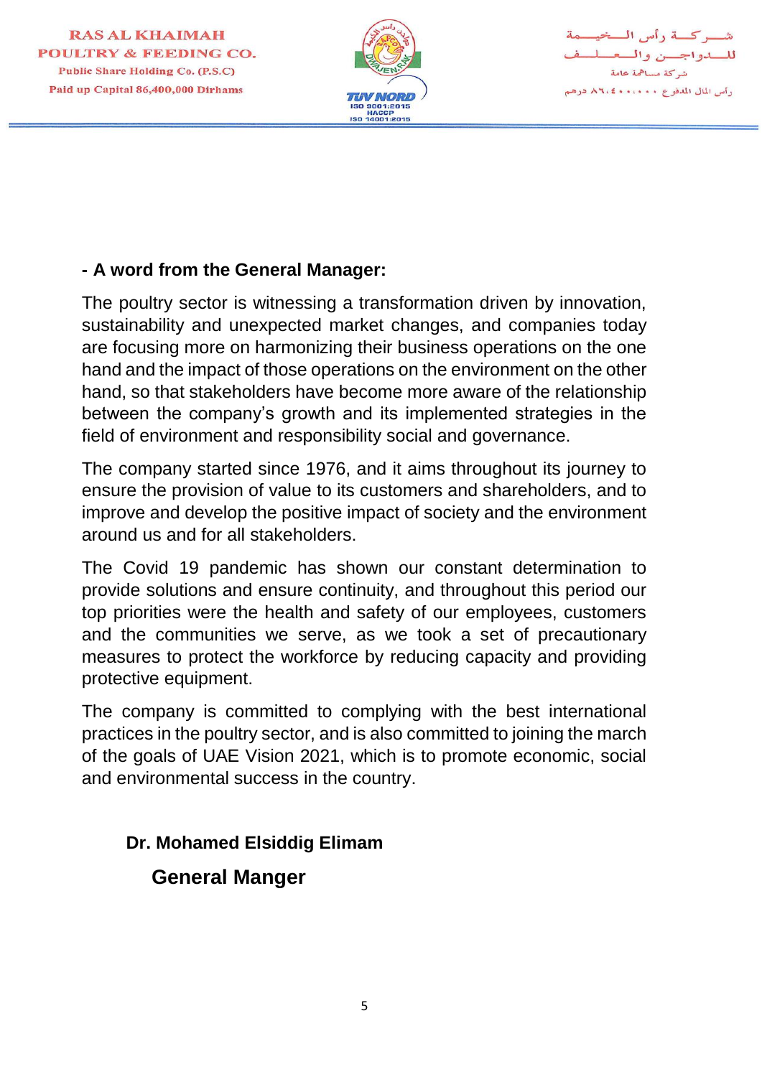

شهركسة رأس السخيسمة للسدواجسن والسعسلسف شركة مساهمة عامة رأس المال المدفوع ٨٦،٠٠٠٠ كالم ١ درهم

#### **- A word from the General Manager:**

The poultry sector is witnessing a transformation driven by innovation, sustainability and unexpected market changes, and companies today are focusing more on harmonizing their business operations on the one hand and the impact of those operations on the environment on the other hand, so that stakeholders have become more aware of the relationship between the company's growth and its implemented strategies in the field of environment and responsibility social and governance.

The company started since 1976, and it aims throughout its journey to ensure the provision of value to its customers and shareholders, and to improve and develop the positive impact of society and the environment around us and for all stakeholders.

The Covid 19 pandemic has shown our constant determination to provide solutions and ensure continuity, and throughout this period our top priorities were the health and safety of our employees, customers and the communities we serve, as we took a set of precautionary measures to protect the workforce by reducing capacity and providing protective equipment.

The company is committed to complying with the best international practices in the poultry sector, and is also committed to joining the march of the goals of UAE Vision 2021, which is to promote economic, social and environmental success in the country.

#### **Dr. Mohamed Elsiddig Elimam**

 **General Manger**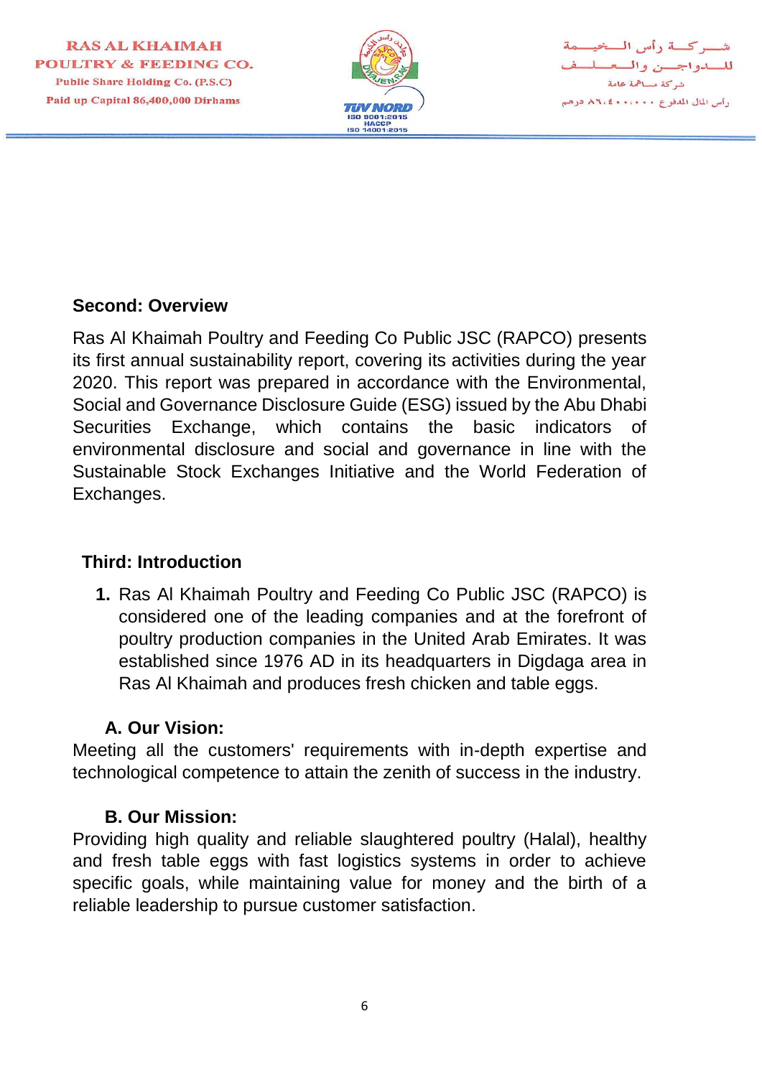

يركسة رأس السخيسمة للسدواجسن والسعسل شركة مساهمة عامة رأس المال المدفوع ٨٦،٠٠٠٠ كالم درهم

#### **Second: Overview**

Ras Al Khaimah Poultry and Feeding Co Public JSC (RAPCO) presents its first annual sustainability report, covering its activities during the year 2020. This report was prepared in accordance with the Environmental, Social and Governance Disclosure Guide (ESG) issued by the Abu Dhabi Securities Exchange, which contains the basic indicators of environmental disclosure and social and governance in line with the Sustainable Stock Exchanges Initiative and the World Federation of Exchanges.

#### **Third: Introduction**

**1.** Ras Al Khaimah Poultry and Feeding Co Public JSC (RAPCO) is considered one of the leading companies and at the forefront of poultry production companies in the United Arab Emirates. It was established since 1976 AD in its headquarters in Digdaga area in Ras Al Khaimah and produces fresh chicken and table eggs.

#### **A. Our Vision:**

Meeting all the customers' requirements with in-depth expertise and technological competence to attain the zenith of success in the industry.

#### **B. Our Mission:**

Providing high quality and reliable slaughtered poultry (Halal), healthy and fresh table eggs with fast logistics systems in order to achieve specific goals, while maintaining value for money and the birth of a reliable leadership to pursue customer satisfaction.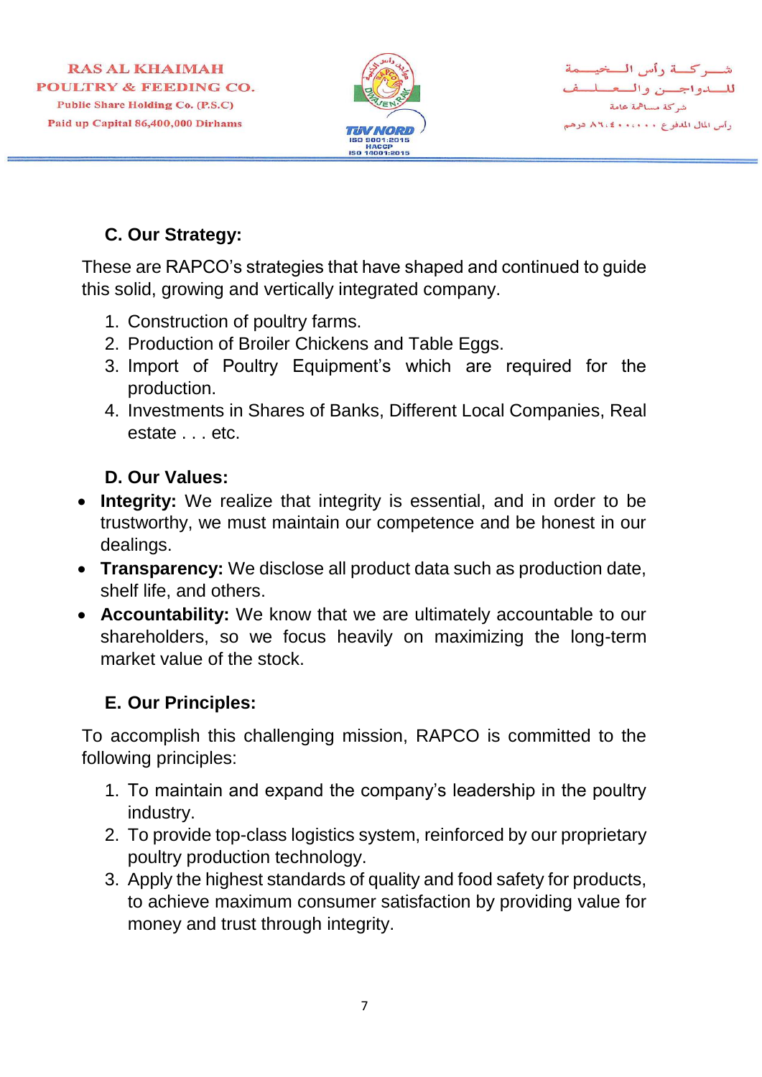

شب كسة رأس السخيسمة للسدواجسن والمعسلسف شركة مساهمة عامة رأس المال المدفوع ٨٦،٠٠٠٠ ٨٦،٤

# **C. Our Strategy:**

These are RAPCO's strategies that have shaped and continued to guide this solid, growing and vertically integrated company.

- 1. Construction of poultry farms.
- 2. Production of Broiler Chickens and Table Eggs.
- 3. Import of Poultry Equipment's which are required for the production.
- 4. Investments in Shares of Banks, Different Local Companies, Real estate . . . etc.

# **D. Our Values:**

- **Integrity:** We realize that integrity is essential, and in order to be trustworthy, we must maintain our competence and be honest in our dealings.
- **Transparency:** We disclose all product data such as production date, shelf life, and others.
- **Accountability:** We know that we are ultimately accountable to our shareholders, so we focus heavily on maximizing the long-term market value of the stock.

# **E. Our Principles:**

To accomplish this challenging mission, RAPCO is committed to the following principles:

- 1. To maintain and expand the company's leadership in the poultry industry.
- 2. To provide top-class logistics system, reinforced by our proprietary poultry production technology.
- 3. Apply the highest standards of quality and food safety for products, to achieve maximum consumer satisfaction by providing value for money and trust through integrity.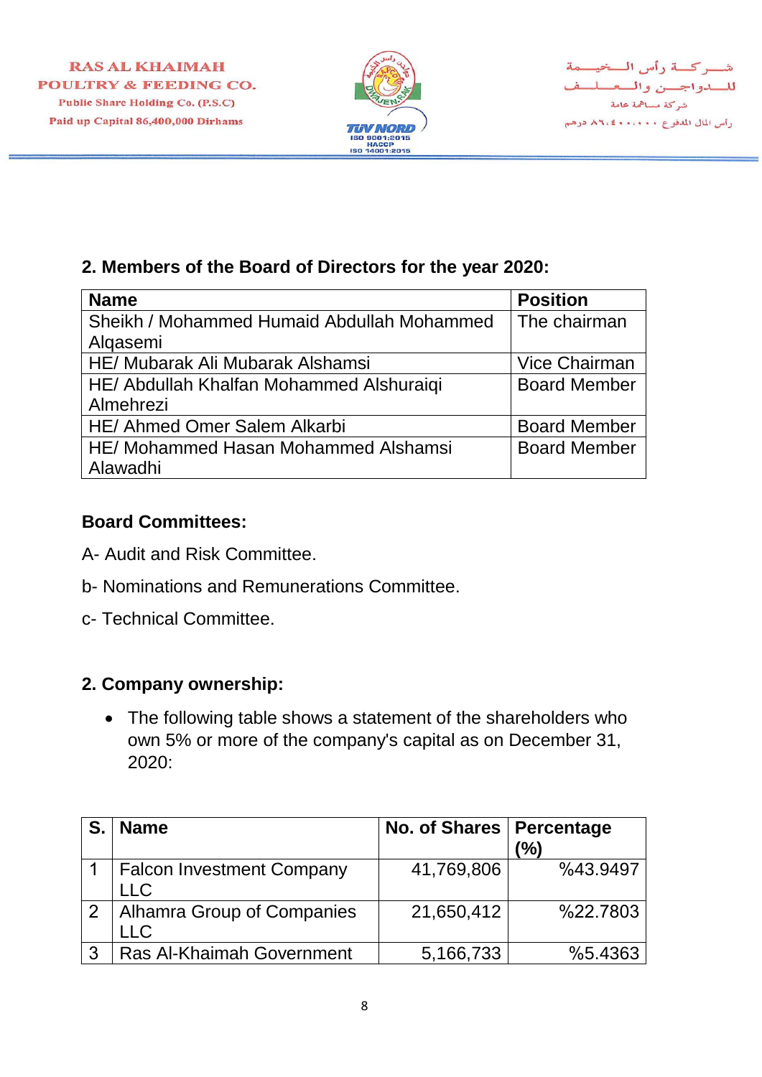

شب كسة دأس السخيسمة للسدواجسن والمعللف شركة مساهمة عامة رأس المال المدفوع ٨٦،٤٠٠،٠٠٠ درهم

#### **2. Members of the Board of Directors for the year 2020:**

| <b>Name</b>                                | <b>Position</b>      |
|--------------------------------------------|----------------------|
| Sheikh / Mohammed Humaid Abdullah Mohammed | The chairman         |
| Algasemi                                   |                      |
| HE/ Mubarak Ali Mubarak Alshamsi           | <b>Vice Chairman</b> |
| HE/ Abdullah Khalfan Mohammed Alshuraiqi   | <b>Board Member</b>  |
| Almehrezi                                  |                      |
| HE/ Ahmed Omer Salem Alkarbi               | <b>Board Member</b>  |
| HE/ Mohammed Hasan Mohammed Alshamsi       | <b>Board Member</b>  |
| Alawadhi                                   |                      |

#### **Board Committees:**

- A- Audit and Risk Committee.
- b- Nominations and Remunerations Committee.
- c- Technical Committee.

#### **2. Company ownership:**

• The following table shows a statement of the shareholders who own 5% or more of the company's capital as on December 31, 2020:

|              | <b>Name</b>                                    | No. of Shares   Percentage | (%)      |
|--------------|------------------------------------------------|----------------------------|----------|
|              | <b>Falcon Investment Company</b><br><b>LLC</b> | 41,769,806                 | %43.9497 |
|              | 2   Alhamra Group of Companies<br><b>LLC</b>   | 21,650,412                 | %22.7803 |
| $\mathbf{3}$ | Ras Al-Khaimah Government                      | 5,166,733                  | %5.4363  |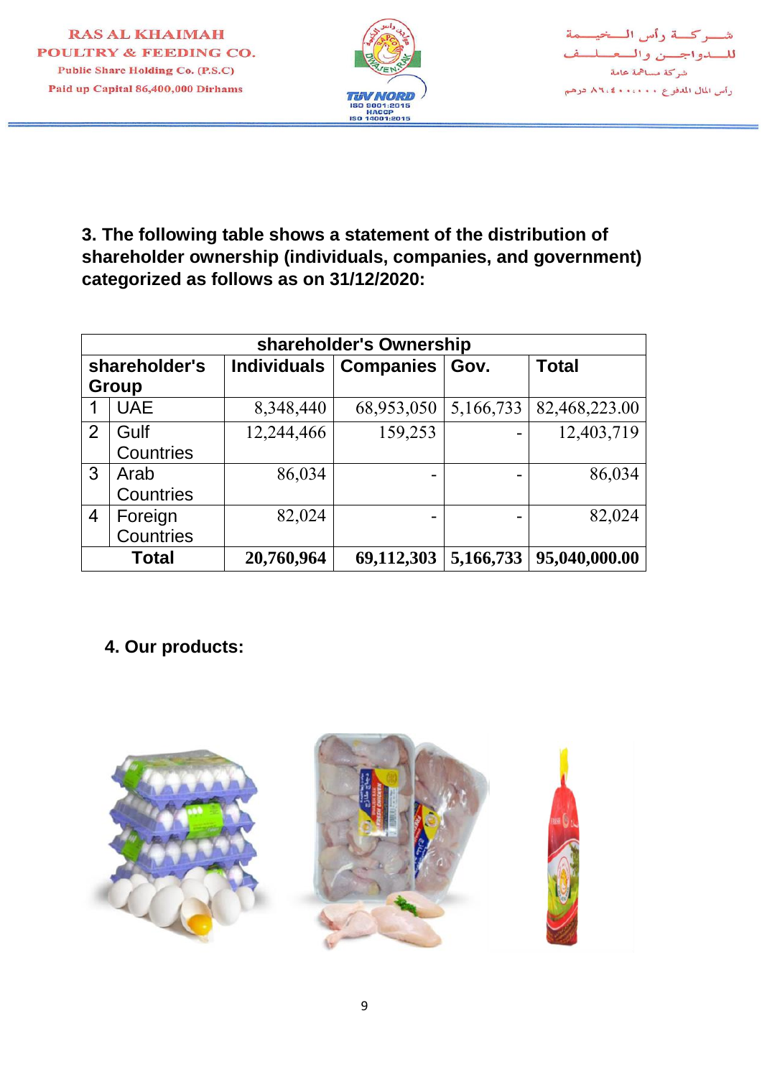

شركة رأس المخيمة للسدواجسن والمعللف شركة مساهمة عامة رأس المال المدفوع ٨٦،٤٠٠،٠٠٠ درهم

**3. The following table shows a statement of the distribution of shareholder ownership (individuals, companies, and government) categorized as follows as on 31/12/2020:**

| shareholder's Ownership |              |            |                                 |           |               |  |  |
|-------------------------|--------------|------------|---------------------------------|-----------|---------------|--|--|
| shareholder's           |              |            | Individuals   Companies<br>Gov. |           | <b>Total</b>  |  |  |
| Group                   |              |            |                                 |           |               |  |  |
| 1                       | <b>UAE</b>   | 8,348,440  | 68,953,050                      | 5,166,733 | 82,468,223.00 |  |  |
| 2                       | Gulf         | 12,244,466 | 159,253                         |           | 12,403,719    |  |  |
|                         | Countries    |            |                                 |           |               |  |  |
| 3                       | Arab         | 86,034     | $\overline{\phantom{a}}$        |           | 86,034        |  |  |
|                         | Countries    |            |                                 |           |               |  |  |
| $\overline{4}$          | Foreign      | 82,024     | -                               |           | 82,024        |  |  |
|                         | Countries    |            |                                 |           |               |  |  |
|                         | <b>Total</b> | 20,760,964 | 69,112,303                      | 5,166,733 | 95,040,000.00 |  |  |

# **4. Our products:**

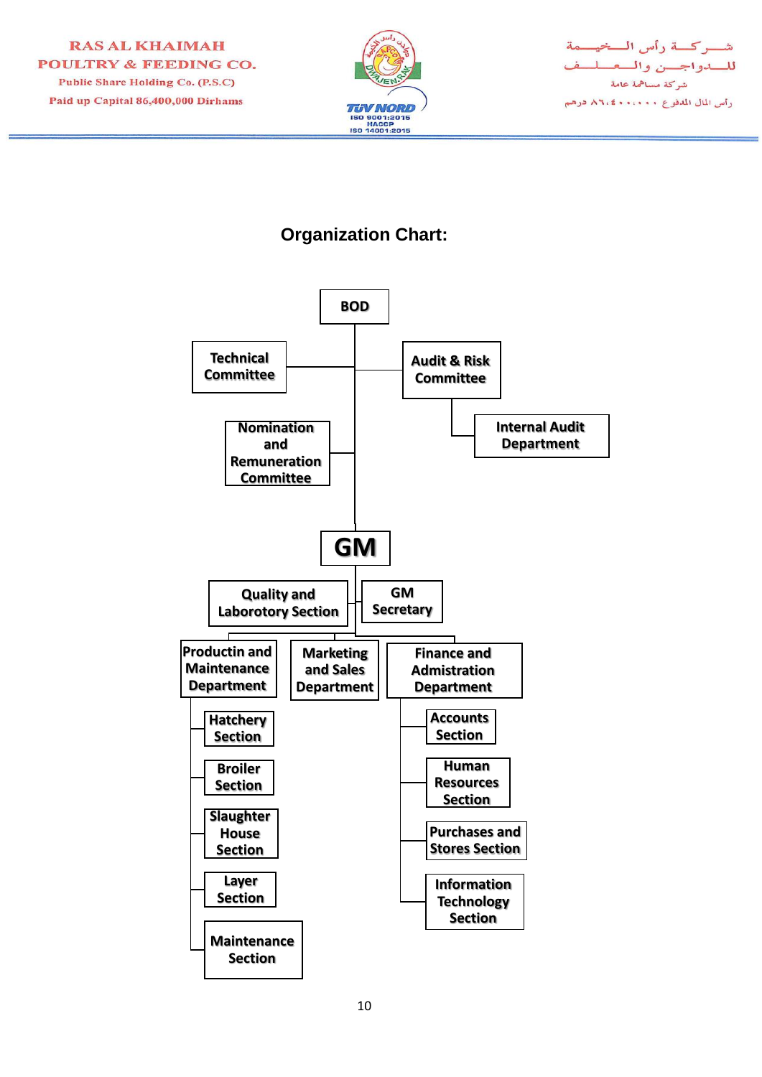



# **Organization Chart:**

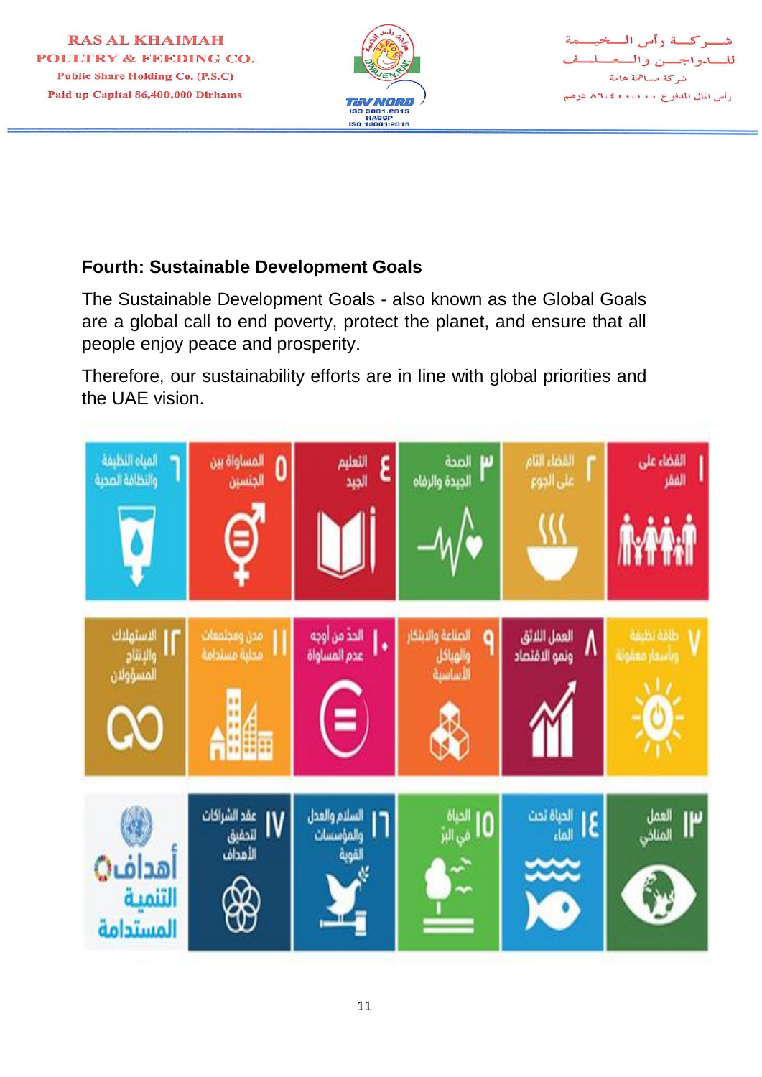



## **Fourth: Sustainable Development Goals**

The Sustainable Development Goals - also known as the Global Goals are a global call to end poverty, protect the planet, and ensure that all people enjoy peace and prosperity.

Therefore, our sustainability efforts are in line with global priorities and the UAE vision.

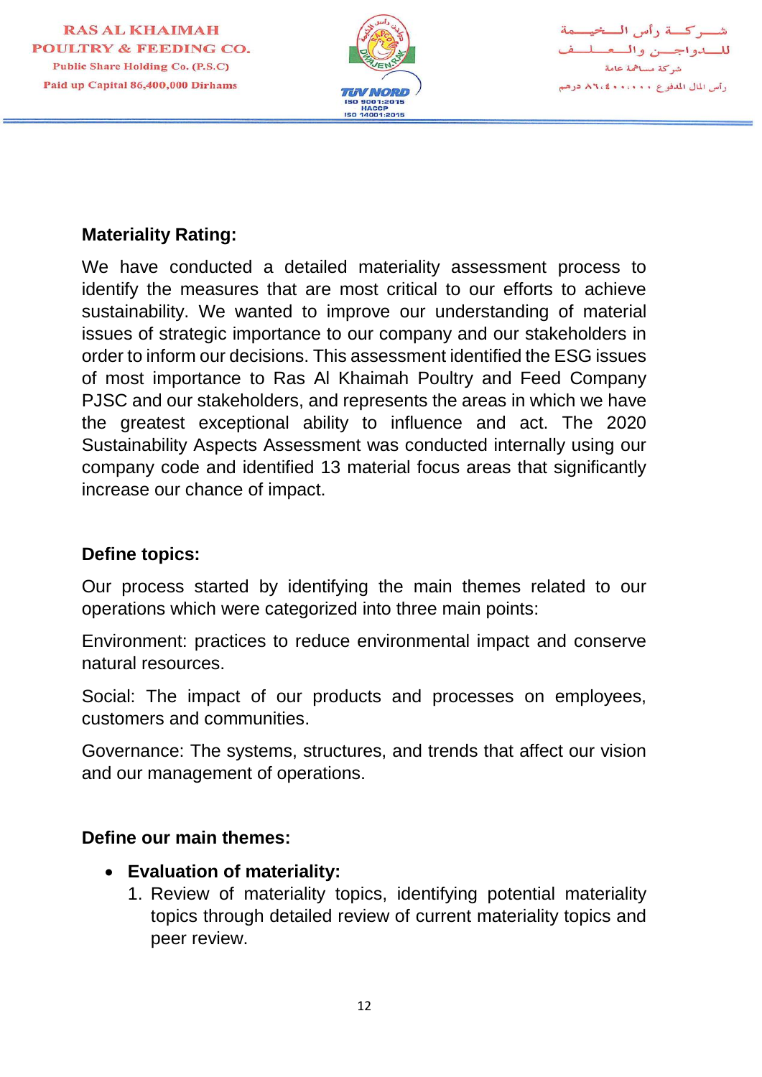



#### **Materiality Rating:**

We have conducted a detailed materiality assessment process to identify the measures that are most critical to our efforts to achieve sustainability. We wanted to improve our understanding of material issues of strategic importance to our company and our stakeholders in order to inform our decisions. This assessment identified the ESG issues of most importance to Ras Al Khaimah Poultry and Feed Company PJSC and our stakeholders, and represents the areas in which we have the greatest exceptional ability to influence and act. The 2020 Sustainability Aspects Assessment was conducted internally using our company code and identified 13 material focus areas that significantly increase our chance of impact.

#### **Define topics:**

Our process started by identifying the main themes related to our operations which were categorized into three main points:

Environment: practices to reduce environmental impact and conserve natural resources.

Social: The impact of our products and processes on employees, customers and communities.

Governance: The systems, structures, and trends that affect our vision and our management of operations.

#### **Define our main themes:**

- **Evaluation of materiality:**
	- 1. Review of materiality topics, identifying potential materiality topics through detailed review of current materiality topics and peer review.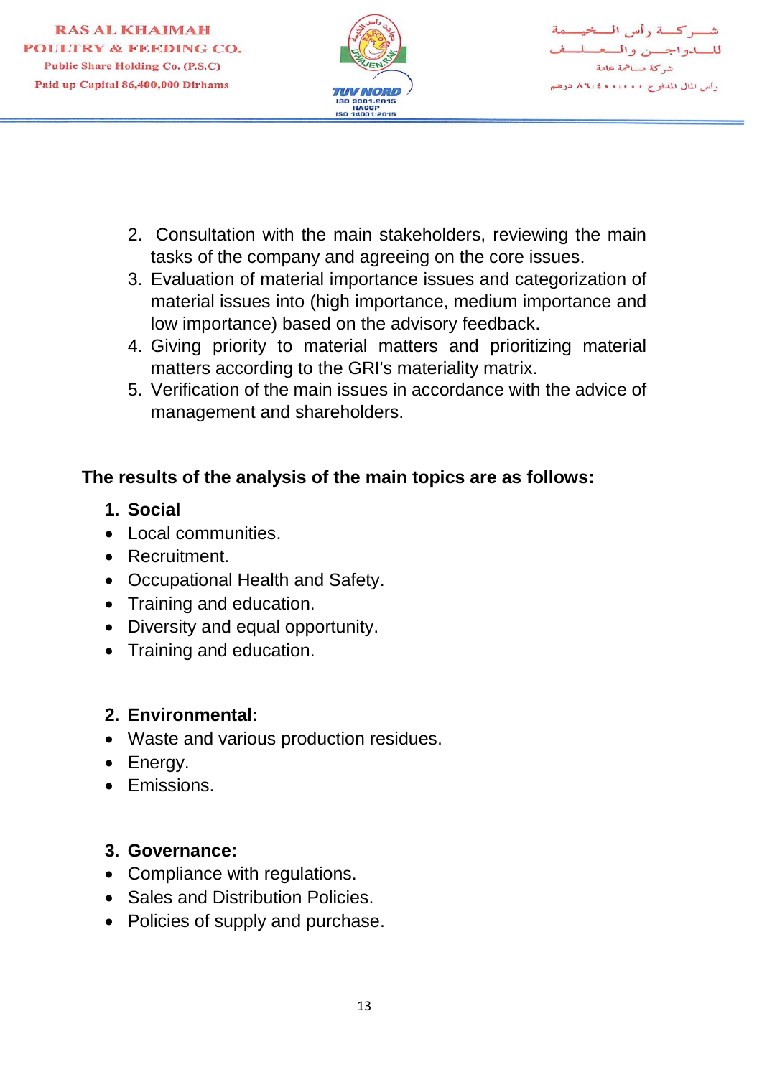

شب كسة رأس السخيسمة للسدواجسن والمعملم شركة مساهمة عامة رأس المال المدفوع ١٠٠٠٠٠ ٨٦،٤ درهم

- 2. Consultation with the main stakeholders, reviewing the main tasks of the company and agreeing on the core issues.
- 3. Evaluation of material importance issues and categorization of material issues into (high importance, medium importance and low importance) based on the advisory feedback.
- 4. Giving priority to material matters and prioritizing material matters according to the GRI's materiality matrix.
- 5. Verification of the main issues in accordance with the advice of management and shareholders.

# **The results of the analysis of the main topics are as follows:**

- **1. Social**
- Local communities.
- Recruitment.
- Occupational Health and Safety.
- Training and education.
- Diversity and equal opportunity.
- Training and education.

#### **2. Environmental:**

- Waste and various production residues.
- Energy.
- Emissions.

#### **3. Governance:**

- Compliance with regulations.
- Sales and Distribution Policies.
- Policies of supply and purchase.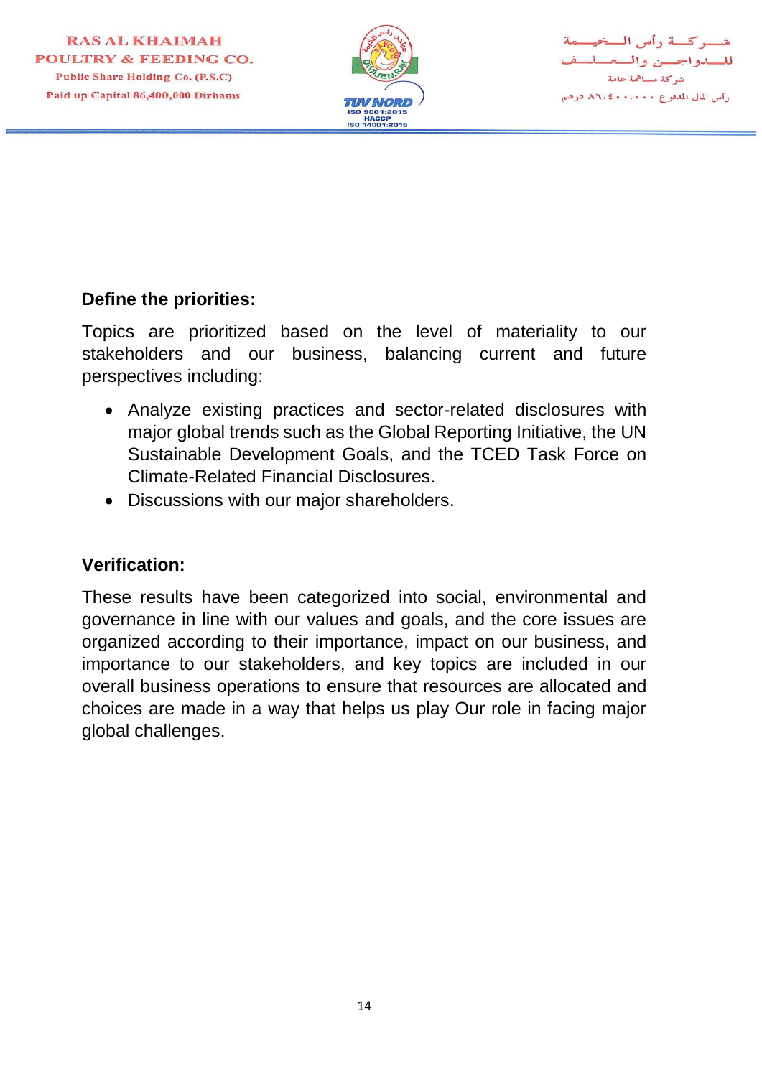

شب كسة رأس السخيسمة للسدواجسن والسعسله شركة مساهمة عامة رأس المال المدفوع ٨٦،٠٠٠٠ ٨٦،٤

#### **Define the priorities:**

Topics are prioritized based on the level of materiality to our stakeholders and our business, balancing current and future perspectives including:

- Analyze existing practices and sector-related disclosures with major global trends such as the Global Reporting Initiative, the UN Sustainable Development Goals, and the TCED Task Force on Climate-Related Financial Disclosures.
- Discussions with our major shareholders.

#### **Verification:**

These results have been categorized into social, environmental and governance in line with our values and goals, and the core issues are organized according to their importance, impact on our business, and importance to our stakeholders, and key topics are included in our overall business operations to ensure that resources are allocated and choices are made in a way that helps us play Our role in facing major global challenges.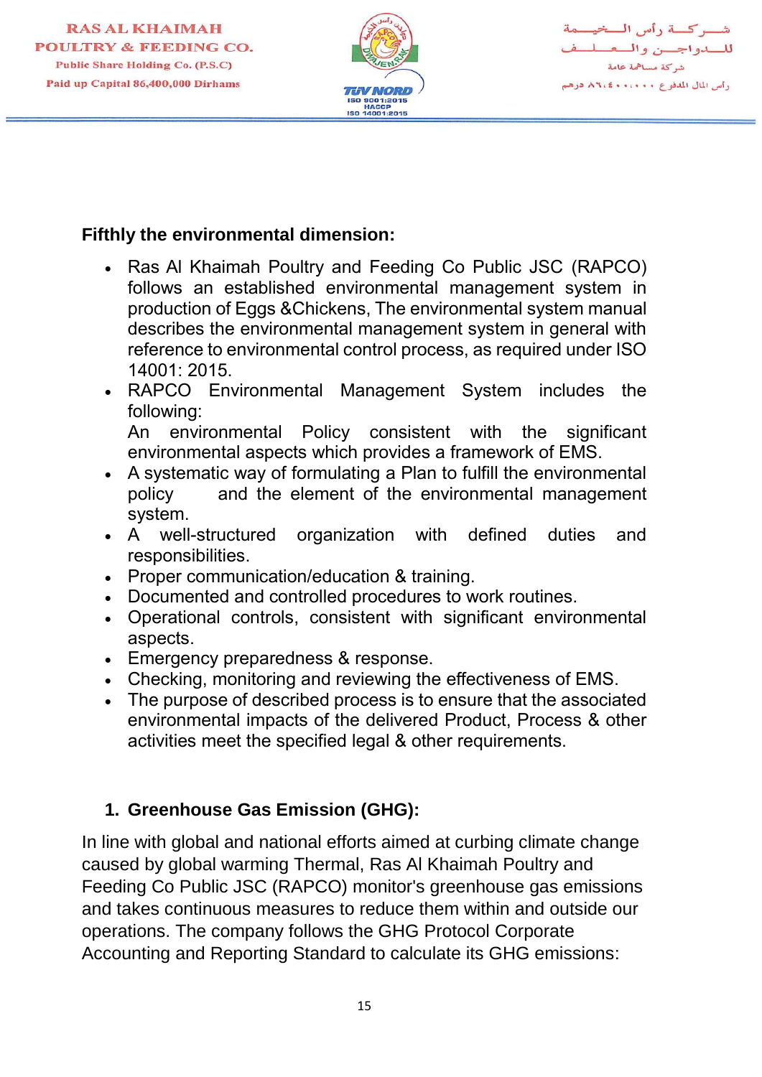

شب كسة رأس السخيسمة للسدواجسن والسعسلسة شركة مساهمة عامة رأس المال المدفوع ٨٦،٠٠٠٠ كالا ٨٦،٤

#### **Fifthly the environmental dimension:**

- Ras Al Khaimah Poultry and Feeding Co Public JSC (RAPCO) follows an established environmental management system in production of Eggs &Chickens, The environmental system manual describes the environmental management system in general with reference to environmental control process, as required under ISO 14001: 2015.
- RAPCO Environmental Management System includes the following:

An environmental Policy consistent with the significant environmental aspects which provides a framework of EMS.

- A systematic way of formulating a Plan to fulfill the environmental policy and the element of the environmental management system.
- A well-structured organization with defined duties and responsibilities.
- Proper communication/education & training.
- Documented and controlled procedures to work routines.
- Operational controls, consistent with significant environmental aspects.
- Emergency preparedness & response.
- Checking, monitoring and reviewing the effectiveness of EMS.
- The purpose of described process is to ensure that the associated environmental impacts of the delivered Product, Process & other activities meet the specified legal & other requirements.

# **1. Greenhouse Gas Emission (GHG):**

In line with global and national efforts aimed at curbing climate change caused by global warming Thermal, Ras Al Khaimah Poultry and Feeding Co Public JSC (RAPCO) monitor's greenhouse gas emissions and takes continuous measures to reduce them within and outside our operations. The company follows the GHG Protocol Corporate Accounting and Reporting Standard to calculate its GHG emissions: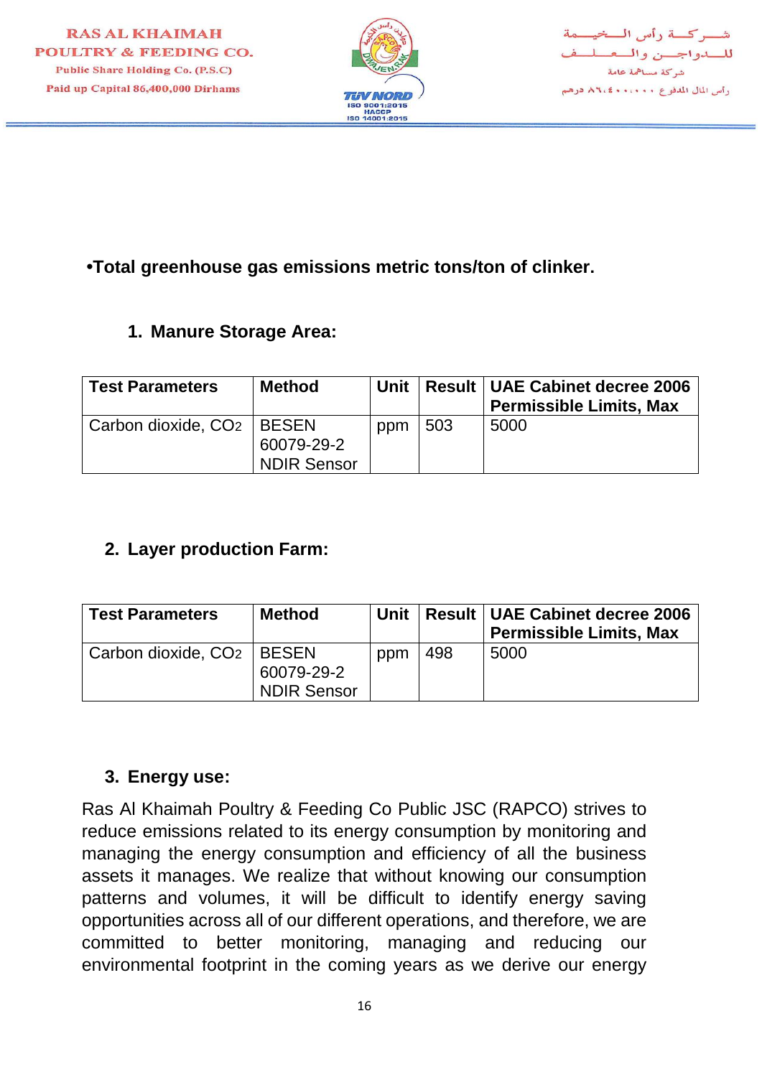

# **•Total greenhouse gas emissions metric tons/ton of clinker.**

# **1. Manure Storage Area:**

| <b>Test Parameters</b>                  | <b>Method</b>                    | Unit |     | <b>Result   UAE Cabinet decree 2006</b><br><b>Permissible Limits, Max</b> |
|-----------------------------------------|----------------------------------|------|-----|---------------------------------------------------------------------------|
| Carbon dioxide, CO <sub>2</sub>   BESEN | 60079-29-2<br><b>NDIR Sensor</b> | ppm  | 503 | 5000                                                                      |

# **2. Layer production Farm:**

| <b>Test Parameters</b>                  | <b>Method</b>             | Unit |     | <b>Result   UAE Cabinet decree 2006</b><br><b>Permissible Limits, Max</b> |
|-----------------------------------------|---------------------------|------|-----|---------------------------------------------------------------------------|
| Carbon dioxide, CO <sub>2</sub>   BESEN | 60079-29-2<br>NDIR Sensor | ppm  | 498 | 5000                                                                      |

#### **3. Energy use:**

Ras Al Khaimah Poultry & Feeding Co Public JSC (RAPCO) strives to reduce emissions related to its energy consumption by monitoring and managing the energy consumption and efficiency of all the business assets it manages. We realize that without knowing our consumption patterns and volumes, it will be difficult to identify energy saving opportunities across all of our different operations, and therefore, we are committed to better monitoring, managing and reducing our environmental footprint in the coming years as we derive our energy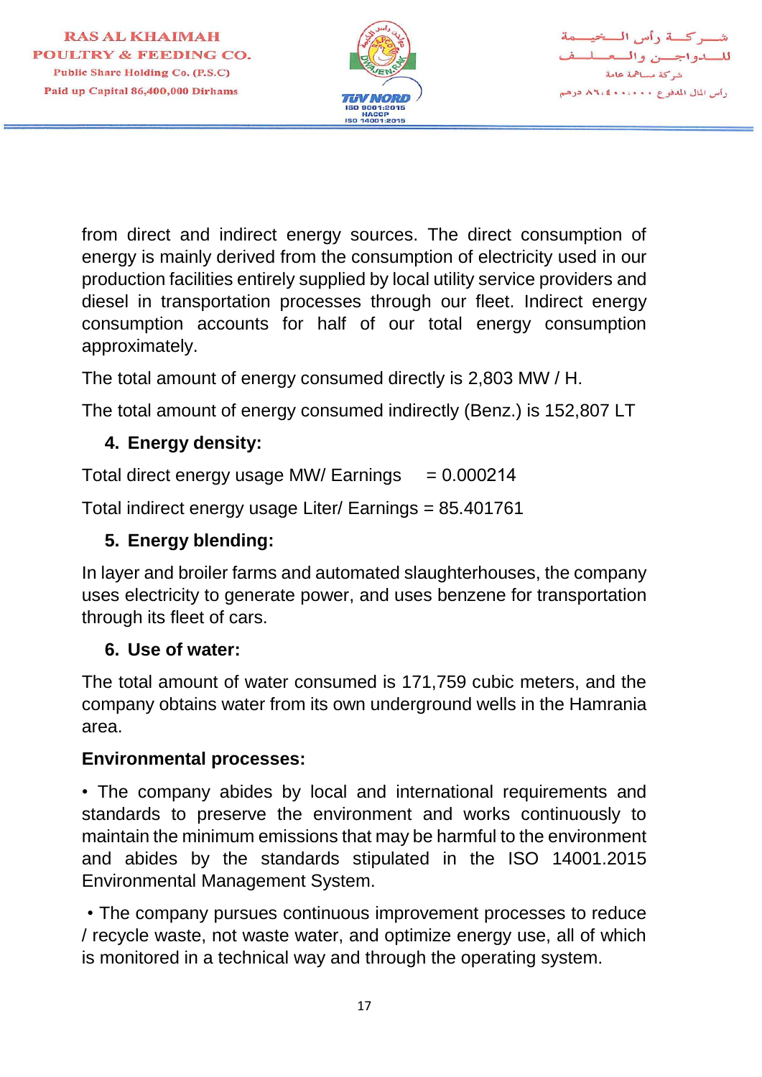



from direct and indirect energy sources. The direct consumption of energy is mainly derived from the consumption of electricity used in our production facilities entirely supplied by local utility service providers and diesel in transportation processes through our fleet. Indirect energy consumption accounts for half of our total energy consumption approximately.

The total amount of energy consumed directly is 2,803 MW / H.

The total amount of energy consumed indirectly (Benz.) is 152,807 LT

# **4. Energy density:**

Total direct energy usage MW/ Earnings  $= 0.000214$ 

Total indirect energy usage Liter/ Earnings = 85.401761

# **5. Energy blending:**

In layer and broiler farms and automated slaughterhouses, the company uses electricity to generate power, and uses benzene for transportation through its fleet of cars.

#### **6. Use of water:**

The total amount of water consumed is 171,759 cubic meters, and the company obtains water from its own underground wells in the Hamrania area.

#### **Environmental processes:**

• The company abides by local and international requirements and standards to preserve the environment and works continuously to maintain the minimum emissions that may be harmful to the environment and abides by the standards stipulated in the ISO 14001.2015 Environmental Management System.

 • The company pursues continuous improvement processes to reduce / recycle waste, not waste water, and optimize energy use, all of which is monitored in a technical way and through the operating system.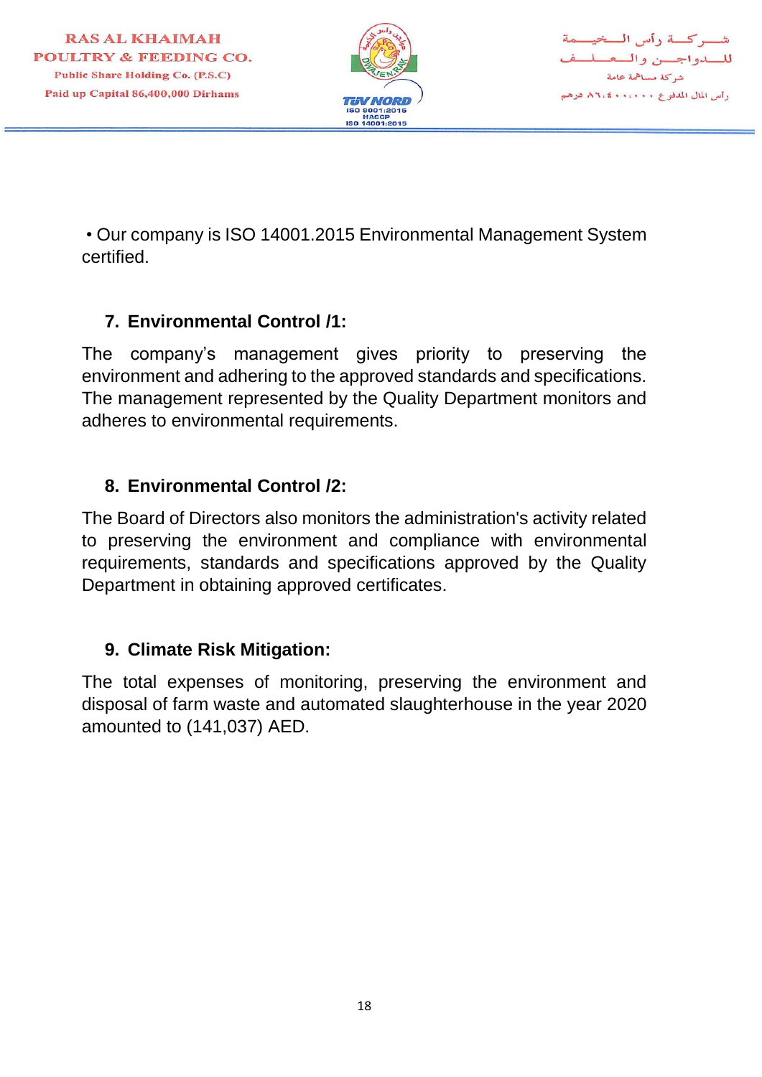

شب كسة رأس السخيسمة للسلواجسن والمعط شركة مساهمة عامة رأس المال المدفوع ٨٦،٠٠٠٠ ٨٦،٤

 • Our company is ISO 14001.2015 Environmental Management System certified.

# **7. Environmental Control /1:**

The company's management gives priority to preserving the environment and adhering to the approved standards and specifications. The management represented by the Quality Department monitors and adheres to environmental requirements.

# **8. Environmental Control /2:**

The Board of Directors also monitors the administration's activity related to preserving the environment and compliance with environmental requirements, standards and specifications approved by the Quality Department in obtaining approved certificates.

#### **9. Climate Risk Mitigation:**

The total expenses of monitoring, preserving the environment and disposal of farm waste and automated slaughterhouse in the year 2020 amounted to (141,037) AED.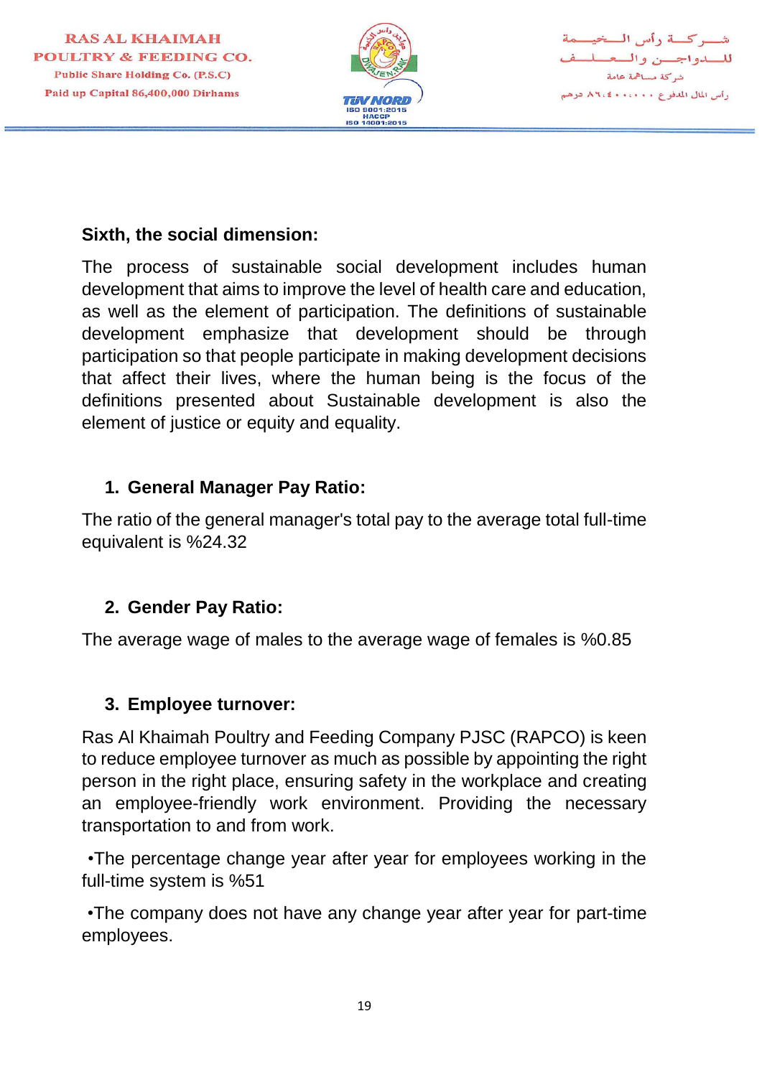

#### **Sixth, the social dimension:**

The process of sustainable social development includes human development that aims to improve the level of health care and education, as well as the element of participation. The definitions of sustainable development emphasize that development should be through participation so that people participate in making development decisions that affect their lives, where the human being is the focus of the definitions presented about Sustainable development is also the element of justice or equity and equality.

## **1. General Manager Pay Ratio:**

The ratio of the general manager's total pay to the average total full-time equivalent is %24.32

# **2. Gender Pay Ratio:**

The average wage of males to the average wage of females is %0.85

#### **3. Employee turnover:**

Ras Al Khaimah Poultry and Feeding Company PJSC (RAPCO) is keen to reduce employee turnover as much as possible by appointing the right person in the right place, ensuring safety in the workplace and creating an employee-friendly work environment. Providing the necessary transportation to and from work.

 •The percentage change year after year for employees working in the full-time system is %51

 •The company does not have any change year after year for part-time employees.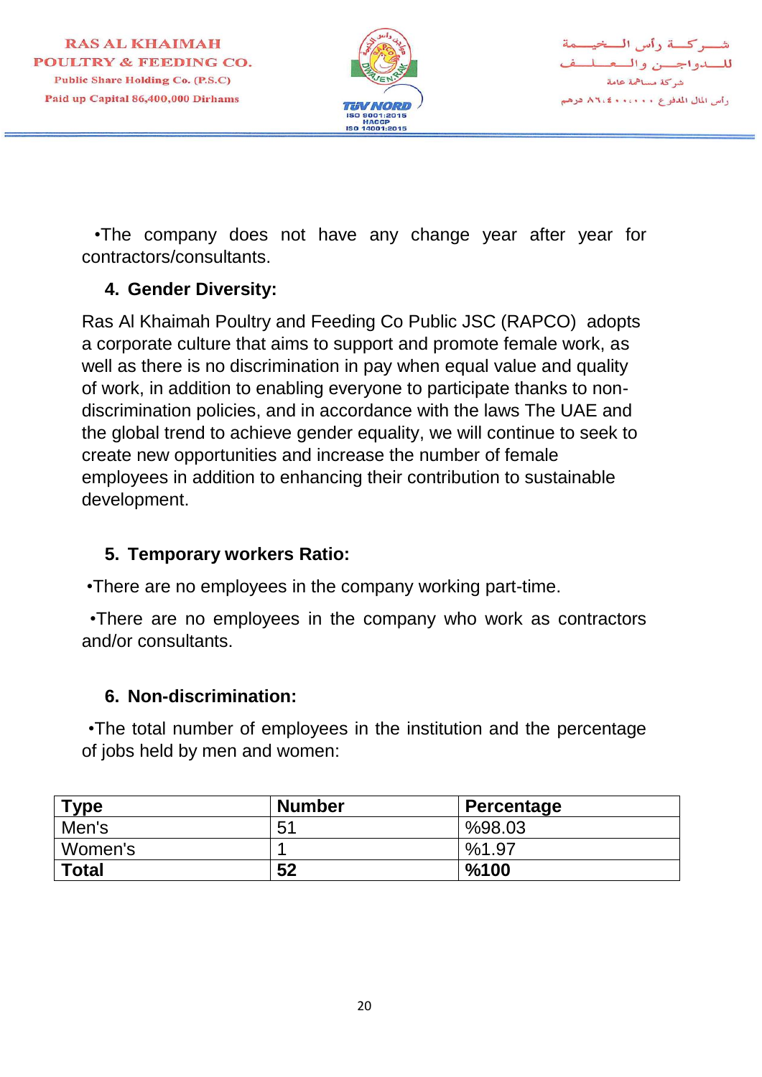

بركسة دأس المسخيسمة للسدواجسن والمعملم شركة مساهمة عامة رأس المال المدفوع ٠٠٠٠٠٠ ٨٦،٤ درهم

 •The company does not have any change year after year for contractors/consultants.

## **4. Gender Diversity:**

Ras Al Khaimah Poultry and Feeding Co Public JSC (RAPCO) adopts a corporate culture that aims to support and promote female work, as well as there is no discrimination in pay when equal value and quality of work, in addition to enabling everyone to participate thanks to nondiscrimination policies, and in accordance with the laws The UAE and the global trend to achieve gender equality, we will continue to seek to create new opportunities and increase the number of female employees in addition to enhancing their contribution to sustainable development.

#### **5. Temporary workers Ratio:**

•There are no employees in the company working part-time.

 •There are no employees in the company who work as contractors and/or consultants.

# **6. Non-discrimination:**

 •The total number of employees in the institution and the percentage of jobs held by men and women:

| Type         | <b>Number</b>  | Percentage |
|--------------|----------------|------------|
| Men's        | 5 <sup>′</sup> | %98.03     |
| Women's      |                | %1.97      |
| <b>Total</b> | 52             | %100       |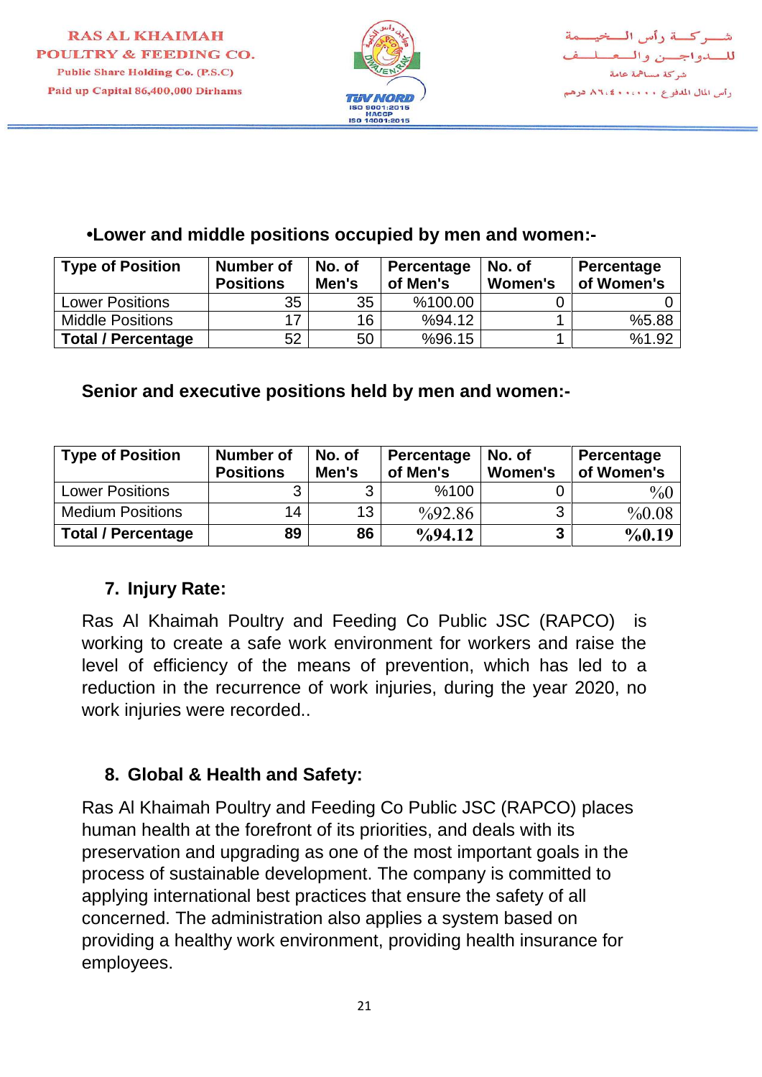

#### **•Lower and middle positions occupied by men and women:-**

| <b>Type of Position</b>   | <b>Number of</b><br><b>Positions</b> | No. of<br>Men's | Percentage<br>of Men's | No. of<br>Women's | Percentage<br>of Women's |
|---------------------------|--------------------------------------|-----------------|------------------------|-------------------|--------------------------|
| <b>Lower Positions</b>    | 35                                   | 35              | %100.00                |                   |                          |
| <b>Middle Positions</b>   | 17                                   | 16              | %94.12                 |                   | %5.88                    |
| <b>Total / Percentage</b> | 52                                   | 50              | %96.15                 |                   | %1.92                    |

#### **Senior and executive positions held by men and women:-**

| <b>Type of Position</b>   | <b>Number of</b><br><b>Positions</b> | No. of<br>Men's | Percentage<br>of Men's | No. of<br><b>Women's</b> | Percentage<br>of Women's |
|---------------------------|--------------------------------------|-----------------|------------------------|--------------------------|--------------------------|
| <b>Lower Positions</b>    |                                      |                 | %100                   |                          | $\%0$                    |
| <b>Medium Positions</b>   | 14                                   | 13 <sup>°</sup> | $\frac{9}{92.86}$      | 3                        | %0.08                    |
| <b>Total / Percentage</b> | 89                                   | 86              | $\frac{9}{94.12}$      | 3                        | %0.19                    |

# **7. Injury Rate:**

Ras Al Khaimah Poultry and Feeding Co Public JSC (RAPCO) is working to create a safe work environment for workers and raise the level of efficiency of the means of prevention, which has led to a reduction in the recurrence of work injuries, during the year 2020, no work injuries were recorded..

#### **8. Global & Health and Safety:**

Ras Al Khaimah Poultry and Feeding Co Public JSC (RAPCO) places human health at the forefront of its priorities, and deals with its preservation and upgrading as one of the most important goals in the process of sustainable development. The company is committed to applying international best practices that ensure the safety of all concerned. The administration also applies a system based on providing a healthy work environment, providing health insurance for employees.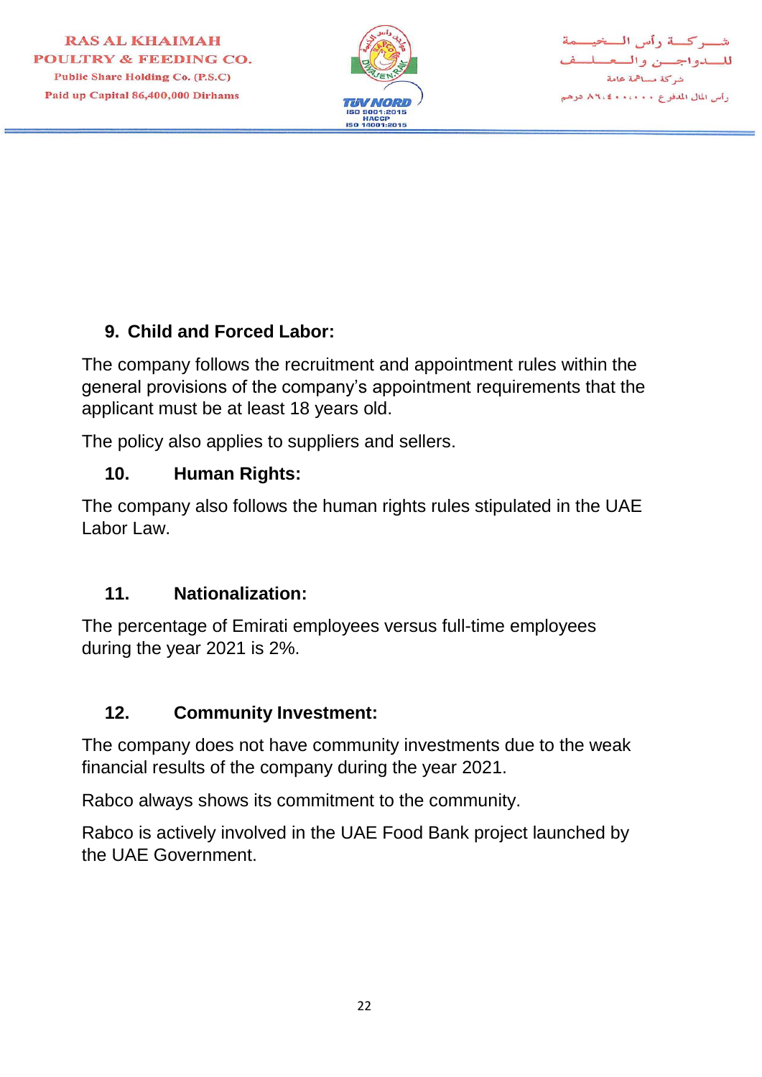



# **9. Child and Forced Labor:**

The company follows the recruitment and appointment rules within the general provisions of the company's appointment requirements that the applicant must be at least 18 years old.

The policy also applies to suppliers and sellers.

## **10. Human Rights:**

The company also follows the human rights rules stipulated in the UAE Labor Law

# **11. Nationalization:**

The percentage of Emirati employees versus full-time employees during the year 2021 is 2%.

# **12. Community Investment:**

The company does not have community investments due to the weak financial results of the company during the year 2021.

Rabco always shows its commitment to the community.

Rabco is actively involved in the UAE Food Bank project launched by the UAE Government.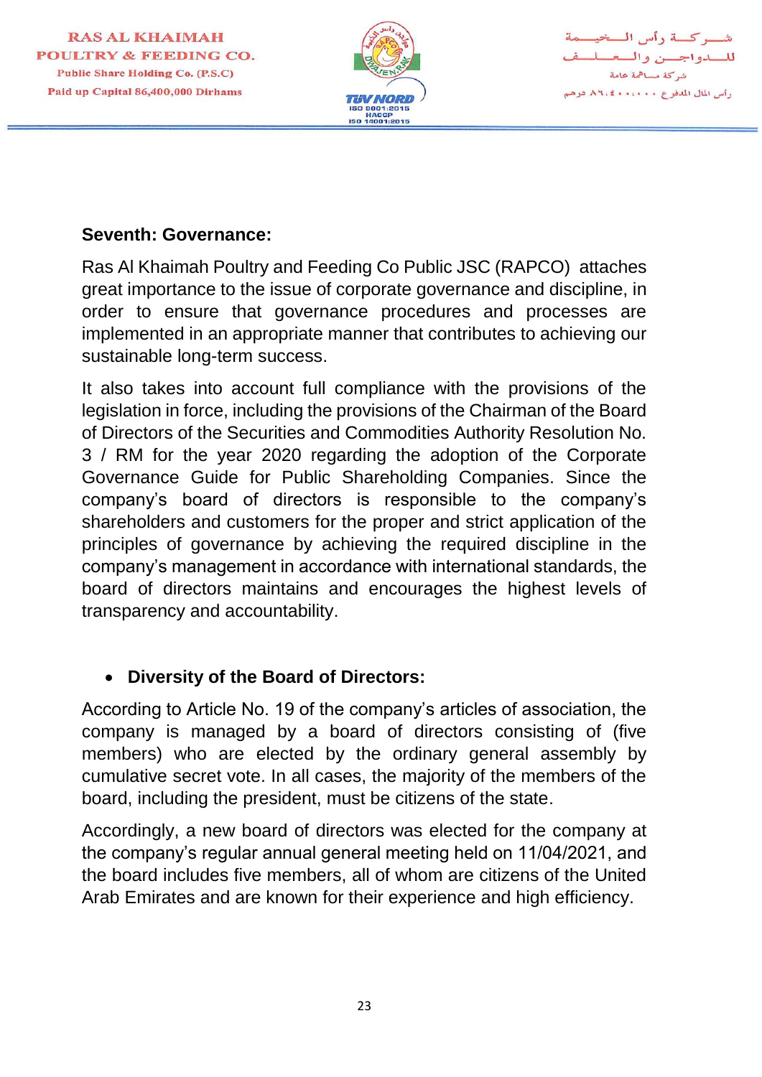

شب كسة رأس السخيسمة للسدواجسن والمعسل شركة مساهمة عامة وأس المال المدفوع . ٨٦،٤٠٠، ٢٠٤٨ درهم

#### **Seventh: Governance:**

Ras Al Khaimah Poultry and Feeding Co Public JSC (RAPCO) attaches great importance to the issue of corporate governance and discipline, in order to ensure that governance procedures and processes are implemented in an appropriate manner that contributes to achieving our sustainable long-term success.

It also takes into account full compliance with the provisions of the legislation in force, including the provisions of the Chairman of the Board of Directors of the Securities and Commodities Authority Resolution No. 3 / RM for the year 2020 regarding the adoption of the Corporate Governance Guide for Public Shareholding Companies. Since the company's board of directors is responsible to the company's shareholders and customers for the proper and strict application of the principles of governance by achieving the required discipline in the company's management in accordance with international standards, the board of directors maintains and encourages the highest levels of transparency and accountability.

#### **Diversity of the Board of Directors:**

According to Article No. 19 of the company's articles of association, the company is managed by a board of directors consisting of (five members) who are elected by the ordinary general assembly by cumulative secret vote. In all cases, the majority of the members of the board, including the president, must be citizens of the state.

Accordingly, a new board of directors was elected for the company at the company's regular annual general meeting held on 11/04/2021, and the board includes five members, all of whom are citizens of the United Arab Emirates and are known for their experience and high efficiency.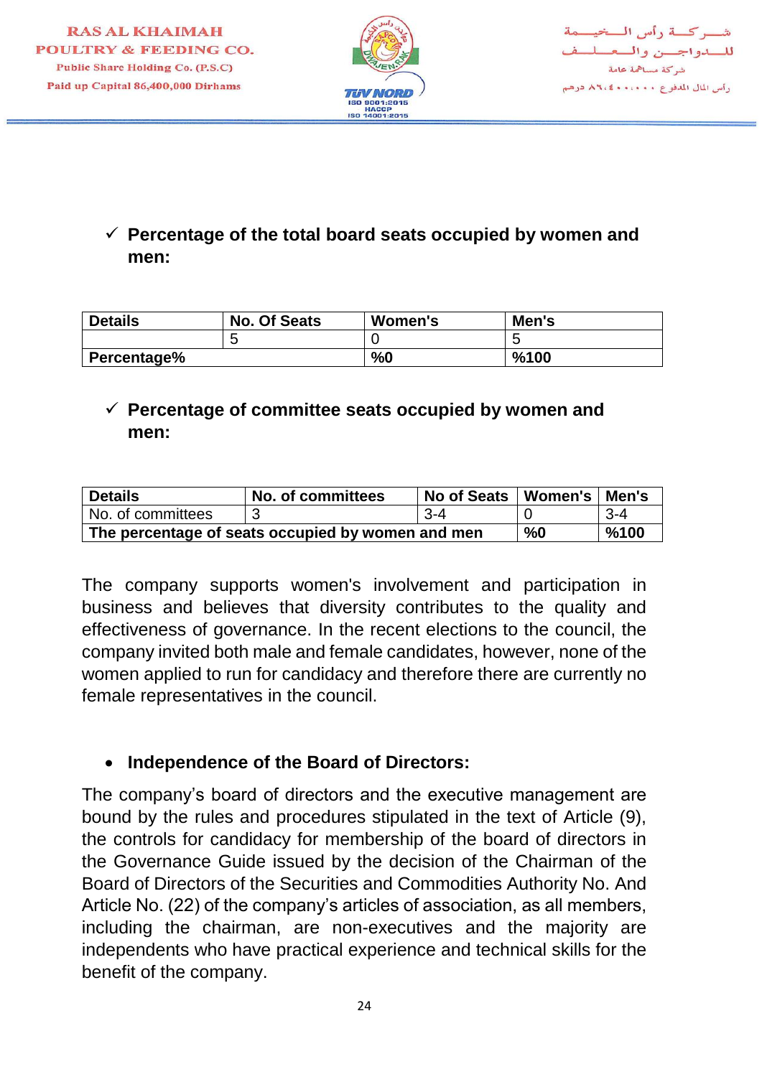

# **Percentage of the total board seats occupied by women and men:**

| <b>Details</b> | <b>No. Of Seats</b> | Women's | Men's |
|----------------|---------------------|---------|-------|
|                |                     |         |       |
| Percentage%    |                     | %0      | %100  |

# **Percentage of committee seats occupied by women and men:**

| <b>Details</b>                                    | No. of committees | No of Seats | Women's   Men's |         |
|---------------------------------------------------|-------------------|-------------|-----------------|---------|
| No. of committees                                 |                   | $3 - 4$     |                 | $3 - 4$ |
| The percentage of seats occupied by women and men | %0                | %100        |                 |         |

The company supports women's involvement and participation in business and believes that diversity contributes to the quality and effectiveness of governance. In the recent elections to the council, the company invited both male and female candidates, however, none of the women applied to run for candidacy and therefore there are currently no female representatives in the council.

#### **Independence of the Board of Directors:**

The company's board of directors and the executive management are bound by the rules and procedures stipulated in the text of Article (9), the controls for candidacy for membership of the board of directors in the Governance Guide issued by the decision of the Chairman of the Board of Directors of the Securities and Commodities Authority No. And Article No. (22) of the company's articles of association, as all members, including the chairman, are non-executives and the majority are independents who have practical experience and technical skills for the benefit of the company.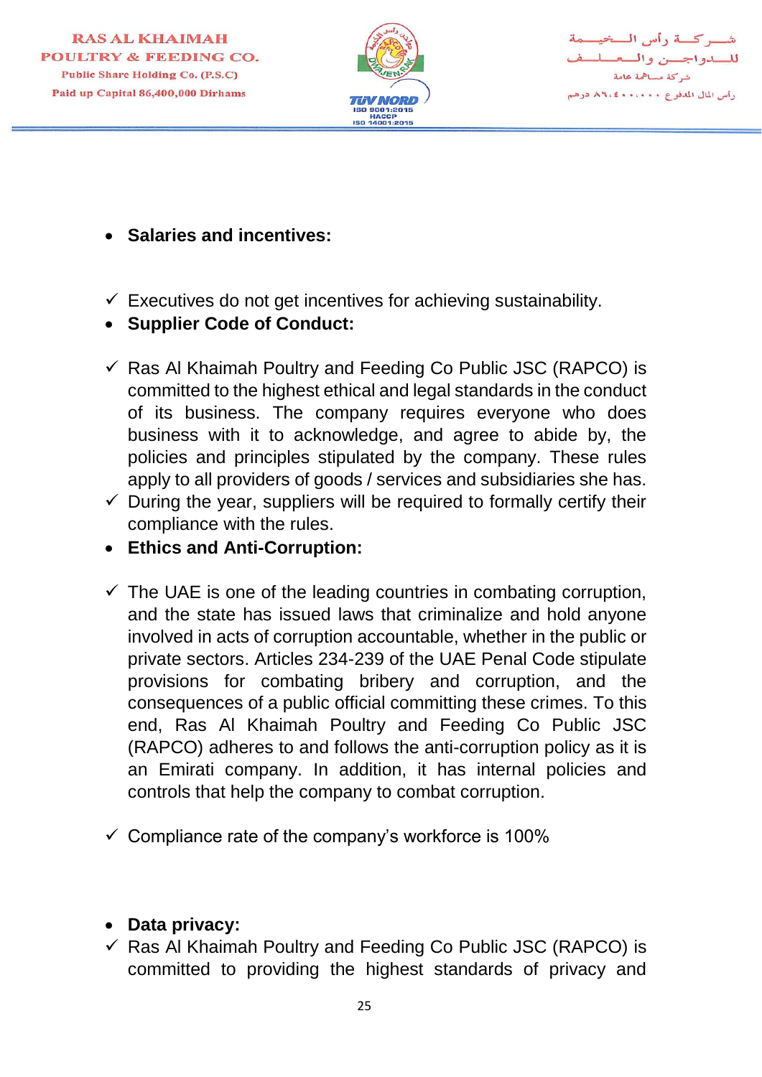

شب کسة رأيس السنحيه للسدواجسن والسع شركة مساهمة عامة رأس المال المدفوع ٨٦،٠٠٠ كالم درهم

- **Salaries and incentives:**
- $\checkmark$  Executives do not get incentives for achieving sustainability.
- **Supplier Code of Conduct:**
- $\checkmark$  Ras Al Khaimah Poultry and Feeding Co Public JSC (RAPCO) is committed to the highest ethical and legal standards in the conduct of its business. The company requires everyone who does business with it to acknowledge, and agree to abide by, the policies and principles stipulated by the company. These rules apply to all providers of goods / services and subsidiaries she has.
- $\checkmark$  During the year, suppliers will be required to formally certify their compliance with the rules.
- **Ethics and Anti-Corruption:**
- $\checkmark$  The UAE is one of the leading countries in combating corruption, and the state has issued laws that criminalize and hold anyone involved in acts of corruption accountable, whether in the public or private sectors. Articles 234-239 of the UAE Penal Code stipulate provisions for combating bribery and corruption, and the consequences of a public official committing these crimes. To this end, Ras Al Khaimah Poultry and Feeding Co Public JSC (RAPCO) adheres to and follows the anti-corruption policy as it is an Emirati company. In addition, it has internal policies and controls that help the company to combat corruption.
- $\checkmark$  Compliance rate of the company's workforce is 100%

#### **Data privacy:**

 $\checkmark$  Ras Al Khaimah Poultry and Feeding Co Public JSC (RAPCO) is committed to providing the highest standards of privacy and